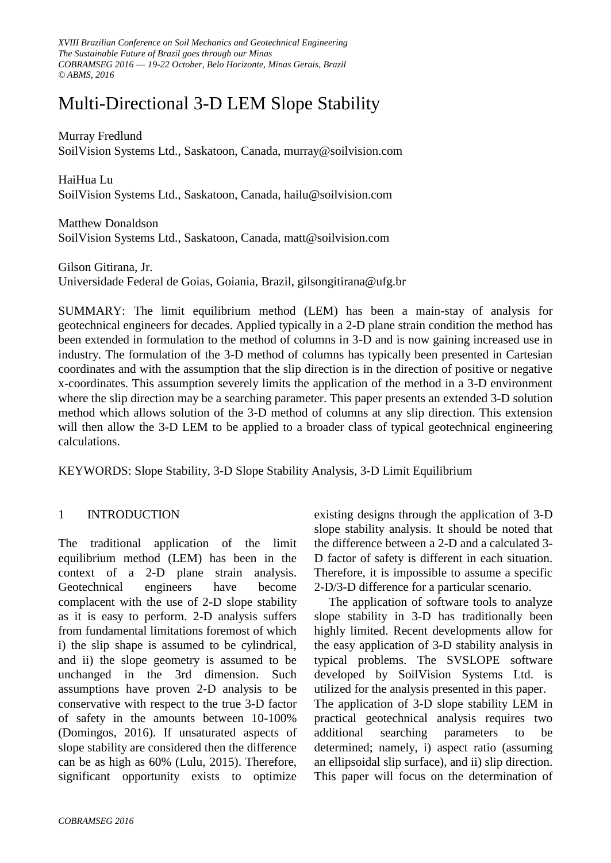*XVIII Brazilian Conference on Soil Mechanics and Geotechnical Engineering The Sustainable Future of Brazil goes through our Minas COBRAMSEG 2016 –– 19-22 October, Belo Horizonte, Minas Gerais, Brazil © ABMS, 2016*

# Multi-Directional 3-D LEM Slope Stability

Murray Fredlund SoilVision Systems Ltd., Saskatoon, Canada, murray@soilvision.com

HaiHua Lu SoilVision Systems Ltd., Saskatoon, Canada, hailu@soilvision.com

Matthew Donaldson SoilVision Systems Ltd., Saskatoon, Canada, matt@soilvision.com

Gilson Gitirana, Jr. Universidade Federal de Goias, Goiania, Brazil, gilsongitirana@ufg.br

SUMMARY: The limit equilibrium method (LEM) has been a main-stay of analysis for geotechnical engineers for decades. Applied typically in a 2-D plane strain condition the method has been extended in formulation to the method of columns in 3-D and is now gaining increased use in industry. The formulation of the 3-D method of columns has typically been presented in Cartesian coordinates and with the assumption that the slip direction is in the direction of positive or negative x-coordinates. This assumption severely limits the application of the method in a 3-D environment where the slip direction may be a searching parameter. This paper presents an extended 3-D solution method which allows solution of the 3-D method of columns at any slip direction. This extension will then allow the 3-D LEM to be applied to a broader class of typical geotechnical engineering calculations.

KEYWORDS: Slope Stability, 3-D Slope Stability Analysis, 3-D Limit Equilibrium

## 1 INTRODUCTION

The traditional application of the limit equilibrium method (LEM) has been in the context of a 2-D plane strain analysis. Geotechnical engineers have become complacent with the use of 2-D slope stability as it is easy to perform. 2-D analysis suffers from fundamental limitations foremost of which i) the slip shape is assumed to be cylindrical, and ii) the slope geometry is assumed to be unchanged in the 3rd dimension. Such assumptions have proven 2-D analysis to be conservative with respect to the true 3-D factor of safety in the amounts between 10-100% (Domingos, 2016). If unsaturated aspects of slope stability are considered then the difference can be as high as 60% (Lulu, 2015). Therefore, significant opportunity exists to optimize existing designs through the application of 3-D slope stability analysis. It should be noted that the difference between a 2-D and a calculated 3- D factor of safety is different in each situation. Therefore, it is impossible to assume a specific 2-D/3-D difference for a particular scenario.

The application of software tools to analyze slope stability in 3-D has traditionally been highly limited. Recent developments allow for the easy application of 3-D stability analysis in typical problems. The SVSLOPE software developed by SoilVision Systems Ltd. is utilized for the analysis presented in this paper. The application of 3-D slope stability LEM in practical geotechnical analysis requires two additional searching parameters to be determined; namely, i) aspect ratio (assuming an ellipsoidal slip surface), and ii) slip direction. This paper will focus on the determination of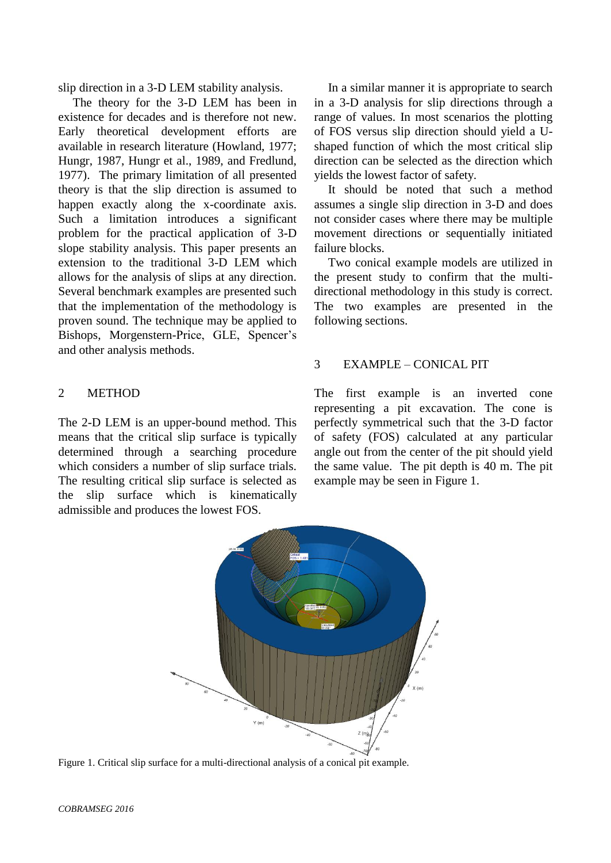slip direction in a 3-D LEM stability analysis.

The theory for the 3-D LEM has been in existence for decades and is therefore not new. Early theoretical development efforts are available in research literature (Howland, 1977; Hungr, 1987, Hungr et al., 1989, and Fredlund, 1977). The primary limitation of all presented theory is that the slip direction is assumed to happen exactly along the x-coordinate axis. Such a limitation introduces a significant problem for the practical application of 3-D slope stability analysis. This paper presents an extension to the traditional 3-D LEM which allows for the analysis of slips at any direction. Several benchmark examples are presented such that the implementation of the methodology is proven sound. The technique may be applied to Bishops, Morgenstern-Price, GLE, Spencer's and other analysis methods.

#### 2 METHOD

The 2-D LEM is an upper-bound method. This means that the critical slip surface is typically determined through a searching procedure which considers a number of slip surface trials. The resulting critical slip surface is selected as the slip surface which is kinematically admissible and produces the lowest FOS.

In a similar manner it is appropriate to search in a 3-D analysis for slip directions through a range of values. In most scenarios the plotting of FOS versus slip direction should yield a Ushaped function of which the most critical slip direction can be selected as the direction which yields the lowest factor of safety.

It should be noted that such a method assumes a single slip direction in 3-D and does not consider cases where there may be multiple movement directions or sequentially initiated failure blocks.

Two conical example models are utilized in the present study to confirm that the multidirectional methodology in this study is correct. The two examples are presented in the following sections.

### 3 EXAMPLE – CONICAL PIT

The first example is an inverted cone representing a pit excavation. The cone is perfectly symmetrical such that the 3-D factor of safety (FOS) calculated at any particular angle out from the center of the pit should yield the same value. The pit depth is 40 m. The pit example may be seen in Figure 1.



Figure 1. Critical slip surface for a multi-directional analysis of a conical pit example.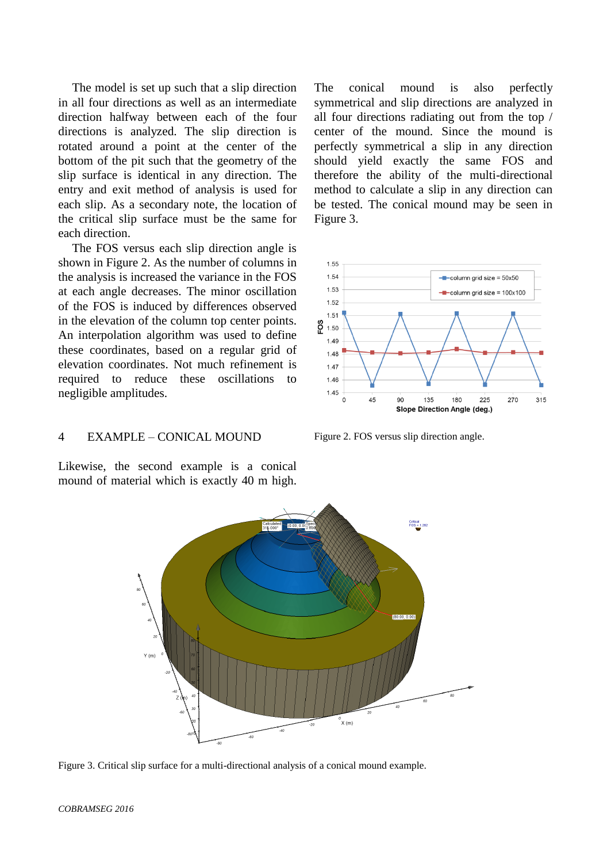The model is set up such that a slip direction in all four directions as well as an intermediate direction halfway between each of the four directions is analyzed. The slip direction is rotated around a point at the center of the bottom of the pit such that the geometry of the slip surface is identical in any direction. The entry and exit method of analysis is used for each slip. As a secondary note, the location of the critical slip surface must be the same for each direction.

The FOS versus each slip direction angle is shown in Figure 2. As the number of columns in the analysis is increased the variance in the FOS at each angle decreases. The minor oscillation of the FOS is induced by differences observed in the elevation of the column top center points. An interpolation algorithm was used to define these coordinates, based on a regular grid of elevation coordinates. Not much refinement is required to reduce these oscillations to negligible amplitudes.

4 EXAMPLE – CONICAL MOUND

Likewise, the second example is a conical mound of material which is exactly 40 m high.

The conical mound is also perfectly symmetrical and slip directions are analyzed in all four directions radiating out from the top / center of the mound. Since the mound is perfectly symmetrical a slip in any direction should yield exactly the same FOS and therefore the ability of the multi-directional method to calculate a slip in any direction can be tested. The conical mound may be seen in Figure 3.



Figure 2. FOS versus slip direction angle.



Figure 3. Critical slip surface for a multi-directional analysis of a conical mound example.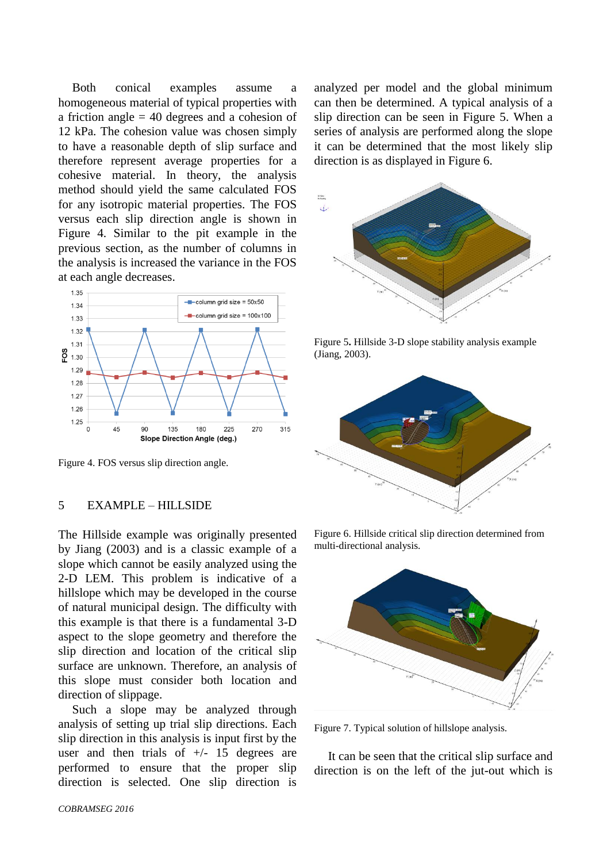Both conical examples assume a homogeneous material of typical properties with a friction angle = 40 degrees and a cohesion of 12 kPa. The cohesion value was chosen simply to have a reasonable depth of slip surface and therefore represent average properties for a cohesive material. In theory, the analysis method should yield the same calculated FOS for any isotropic material properties. The FOS versus each slip direction angle is shown in Figure 4. Similar to the pit example in the previous section, as the number of columns in the analysis is increased the variance in the FOS at each angle decreases.



Figure 4. FOS versus slip direction angle.

#### 5 EXAMPLE – HILLSIDE

The Hillside example was originally presented by Jiang (2003) and is a classic example of a slope which cannot be easily analyzed using the 2-D LEM. This problem is indicative of a hillslope which may be developed in the course of natural municipal design. The difficulty with this example is that there is a fundamental 3-D aspect to the slope geometry and therefore the slip direction and location of the critical slip surface are unknown. Therefore, an analysis of this slope must consider both location and direction of slippage.

Such a slope may be analyzed through analysis of setting up trial slip directions. Each slip direction in this analysis is input first by the user and then trials of  $+/-$  15 degrees are performed to ensure that the proper slip direction is selected. One slip direction is

*COBRAMSEG 2016*

analyzed per model and the global minimum can then be determined. A typical analysis of a slip direction can be seen in Figure 5. When a series of analysis are performed along the slope it can be determined that the most likely slip direction is as displayed in Figure 6.



Figure 5**.** Hillside 3-D slope stability analysis example (Jiang, 2003).



Figure 6. Hillside critical slip direction determined from multi-directional analysis.



Figure 7. Typical solution of hillslope analysis.

It can be seen that the critical slip surface and direction is on the left of the jut-out which is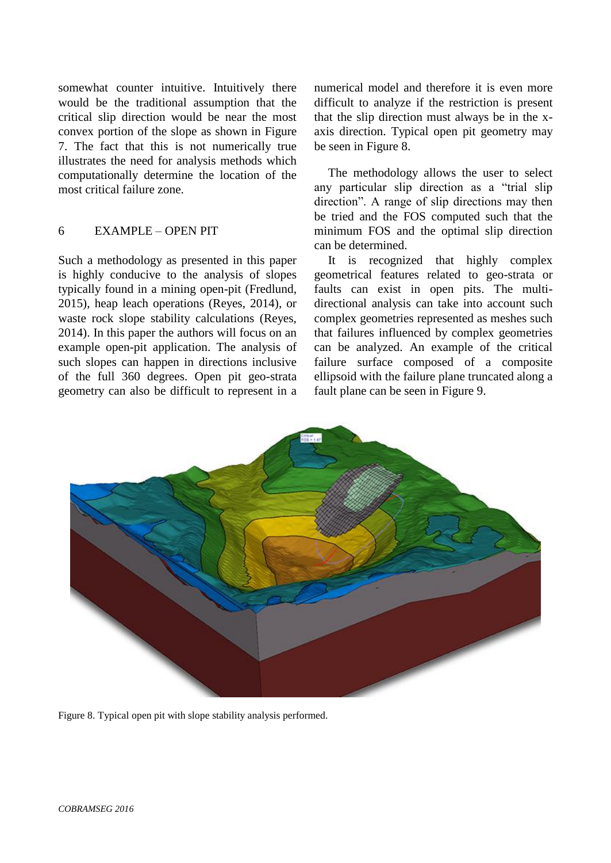somewhat counter intuitive. Intuitively there would be the traditional assumption that the critical slip direction would be near the most convex portion of the slope as shown in Figure 7. The fact that this is not numerically true illustrates the need for analysis methods which computationally determine the location of the most critical failure zone.

#### 6 EXAMPLE – OPEN PIT

Such a methodology as presented in this paper is highly conducive to the analysis of slopes typically found in a mining open-pit (Fredlund, 2015), heap leach operations (Reyes, 2014), or waste rock slope stability calculations (Reyes, 2014). In this paper the authors will focus on an example open-pit application. The analysis of such slopes can happen in directions inclusive of the full 360 degrees. Open pit geo-strata geometry can also be difficult to represent in a numerical model and therefore it is even more difficult to analyze if the restriction is present that the slip direction must always be in the xaxis direction. Typical open pit geometry may be seen in Figure 8.

The methodology allows the user to select any particular slip direction as a "trial slip direction". A range of slip directions may then be tried and the FOS computed such that the minimum FOS and the optimal slip direction can be determined.

It is recognized that highly complex geometrical features related to geo-strata or faults can exist in open pits. The multidirectional analysis can take into account such complex geometries represented as meshes such that failures influenced by complex geometries can be analyzed. An example of the critical failure surface composed of a composite ellipsoid with the failure plane truncated along a fault plane can be seen in Figure 9.



Figure 8. Typical open pit with slope stability analysis performed.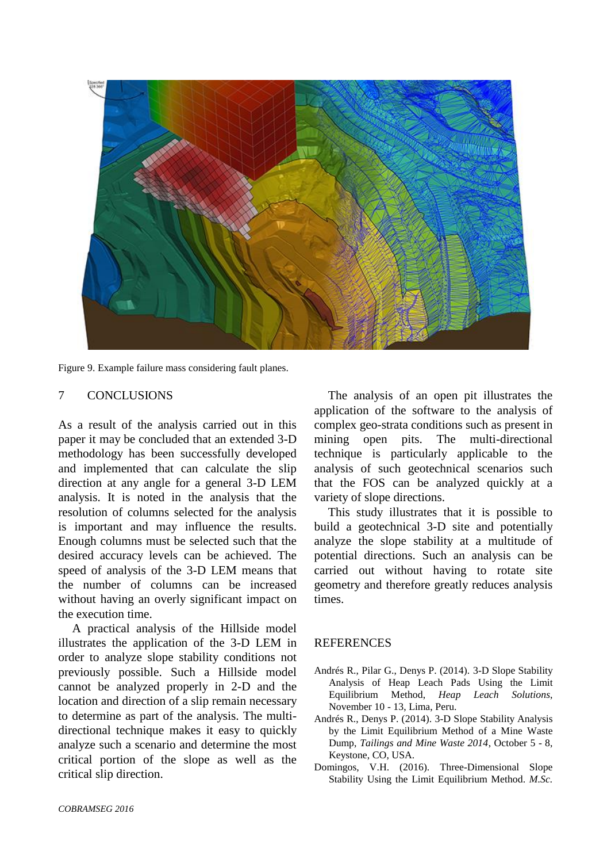

Figure 9. Example failure mass considering fault planes.

#### 7 CONCLUSIONS

As a result of the analysis carried out in this paper it may be concluded that an extended 3-D methodology has been successfully developed and implemented that can calculate the slip direction at any angle for a general 3-D LEM analysis. It is noted in the analysis that the resolution of columns selected for the analysis is important and may influence the results. Enough columns must be selected such that the desired accuracy levels can be achieved. The speed of analysis of the 3-D LEM means that the number of columns can be increased without having an overly significant impact on the execution time.

A practical analysis of the Hillside model illustrates the application of the 3-D LEM in order to analyze slope stability conditions not previously possible. Such a Hillside model cannot be analyzed properly in 2-D and the location and direction of a slip remain necessary to determine as part of the analysis. The multidirectional technique makes it easy to quickly analyze such a scenario and determine the most critical portion of the slope as well as the critical slip direction.

The analysis of an open pit illustrates the application of the software to the analysis of complex geo-strata conditions such as present in mining open pits. The multi-directional technique is particularly applicable to the analysis of such geotechnical scenarios such that the FOS can be analyzed quickly at a variety of slope directions.

This study illustrates that it is possible to build a geotechnical 3-D site and potentially analyze the slope stability at a multitude of potential directions. Such an analysis can be carried out without having to rotate site geometry and therefore greatly reduces analysis times.

#### **REFERENCES**

- Andrés R., Pilar G., Denys P. (2014). 3-D Slope Stability Analysis of Heap Leach Pads Using the Limit Equilibrium Method, *Heap Leach Solutions*, November 10 - 13, Lima, Peru.
- Andrés R., Denys P. (2014). 3-D Slope Stability Analysis by the Limit Equilibrium Method of a Mine Waste Dump, *Tailings and Mine Waste 2014*, October 5 - 8, Keystone, CO, USA.
- Domingos, V.H. (2016). Three-Dimensional Slope Stability Using the Limit Equilibrium Method. *M.Sc.*